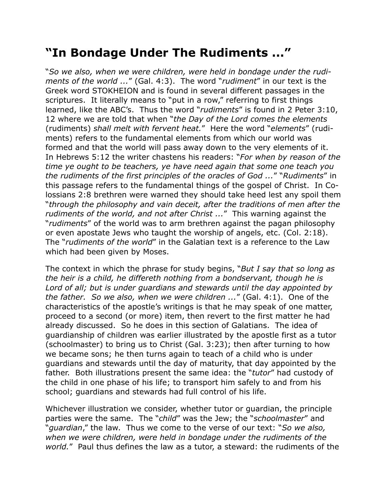## **"In Bondage Under The Rudiments ..."**

"*So we also, when we were children, were held in bondage under the rudiments of the world ...*" (Gal. 4:3). The word "*rudiment*" in our text is the Greek word STOKHEION and is found in several different passages in the scriptures. It literally means to "put in a row," referring to first things learned, like the ABC's. Thus the word "*rudiments*" is found in 2 Peter 3:10, 12 where we are told that when "*the Day of the Lord comes the elements*  (rudiments) *shall melt with fervent heat.*" Here the word "*elements*" (rudiments) refers to the fundamental elements from which our world was formed and that the world will pass away down to the very elements of it. In Hebrews 5:12 the writer chastens his readers: "*For when by reason of the time ye ought to be teachers, ye have need again that some one teach you the rudiments of the first principles of the oracles of God ...*" "*Rudiments*" in this passage refers to the fundamental things of the gospel of Christ. In Colossians 2:8 brethren were warned they should take heed lest any spoil them "*through the philosophy and vain deceit, after the traditions of men after the rudiments of the world, and not after Christ ...*" This warning against the "*rudiments*" of the world was to arm brethren against the pagan philosophy or even apostate Jews who taught the worship of angels, etc. (Col. 2:18). The "*rudiments of the world*" in the Galatian text is a reference to the Law which had been given by Moses.

The context in which the phrase for study begins, "*But I say that so long as the heir is a child, he differeth nothing from a bondservant, though he is Lord of all; but is under guardians and stewards until the day appointed by the father. So we also, when we were children ...*" (Gal. 4:1). One of the characteristics of the apostle's writings is that he may speak of one matter, proceed to a second (or more) item, then revert to the first matter he had already discussed. So he does in this section of Galatians. The idea of guardianship of children was earlier illustrated by the apostle first as a tutor (schoolmaster) to bring us to Christ (Gal. 3:23); then after turning to how we became sons; he then turns again to teach of a child who is under guardians and stewards until the day of maturity, that day appointed by the father. Both illustrations present the same idea: the "*tutor*" had custody of the child in one phase of his life; to transport him safely to and from his school; guardians and stewards had full control of his life.

Whichever illustration we consider, whether tutor or guardian, the principle parties were the same. The "*child*" was the Jew; the "*schoolmaster*" and "*guardian*," the law. Thus we come to the verse of our text: "*So we also, when we were children, were held in bondage under the rudiments of the world.*" Paul thus defines the law as a tutor, a steward: the rudiments of the